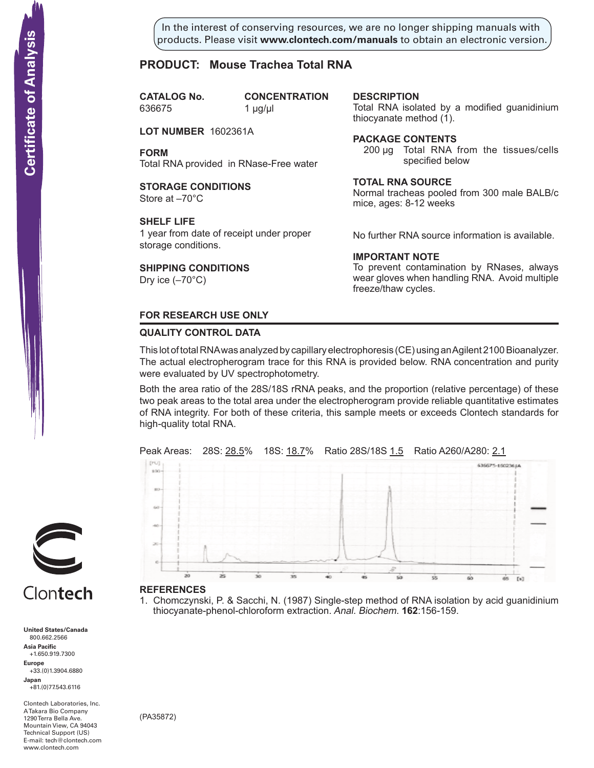In the interest of conserving resources, we are no longer shipping manuals with products. Please visit **www.clontech.com/manuals** to obtain an electronic version.

# **PRODUCT: Mouse Trachea Total RNA**

**CATALOG** No. 636675 1 µg/µl

**CONCENTRATION** 

**LOT NUMBER** 1602361A

**FORM** Total RNA provided in RNase-Free water

#### **STORAGE CONDITIONS** Store at –70°C

#### **SHELF LIFE**

1 year from date of receipt under proper storage conditions.

# **SHIPPING CONDITIONS**

Dry ice  $(-70^{\circ}C)$ 

## **description**

Total RNA isolated by a modified guanidinium thiocyanate method  $(1)$ .

## **Package Contents**

200 µg Total RNA from the tissues/cells specified below

#### **Total RNA source**

Normal tracheas pooled from 300 male BALB/c mice, ages: 8-12 weeks

No further RNA source information is available.

# **IMPORTANT NOTE**

To prevent contamination by RNases, always wear gloves when handling RNA. Avoid multiple freeze/thaw cycles.

# **FOR RESEARCH USE ONLY**

#### **QUALITY CONTROL DATA**

This lot of total RNA was analyzed by capillary electrophoresis (CE) using an Agilent 2100 Bioanalyzer. The actual electropherogram trace for this RNA is provided below. RNA concentration and purity were evaluated by UV spectrophotometry.

Both the area ratio of the 28S/18S rRNA peaks, and the proportion (relative percentage) of these two peak areas to the total area under the electropherogram provide reliable quantitative estimates of RNA integrity. For both of these criteria, this sample meets or exceeds Clontech standards for high-quality total RNA.





#### **References**

1. Chomczynski, P. & Sacchi, N. (1987) Single-step method of RNA isolation by acid guanidinium thiocyanate-phenol-chloroform extraction. Anal. Biochem. **162**:156-159.



# Clontech

**United States/Canada** 800.662.2566 **Asia Pacific** +1.650.919.7300 **Europe** +33.(0)1.3904.6880 **Japan** +81.(0)77.543.6116 **Solution Control Control Control Control Control Control Control Control Control Control Control Control Control Control Control Control Control Control Control Control Control Control Control Control Control Control Cont** 

Clontech Laboratories, Inc. A Takara Bio Company 1290 Terra Bella Ave. Mountain View, CA 94043 Technical Support (US) E-mail: tech@clontech.com<br>www.clontech.com

(PA35872)